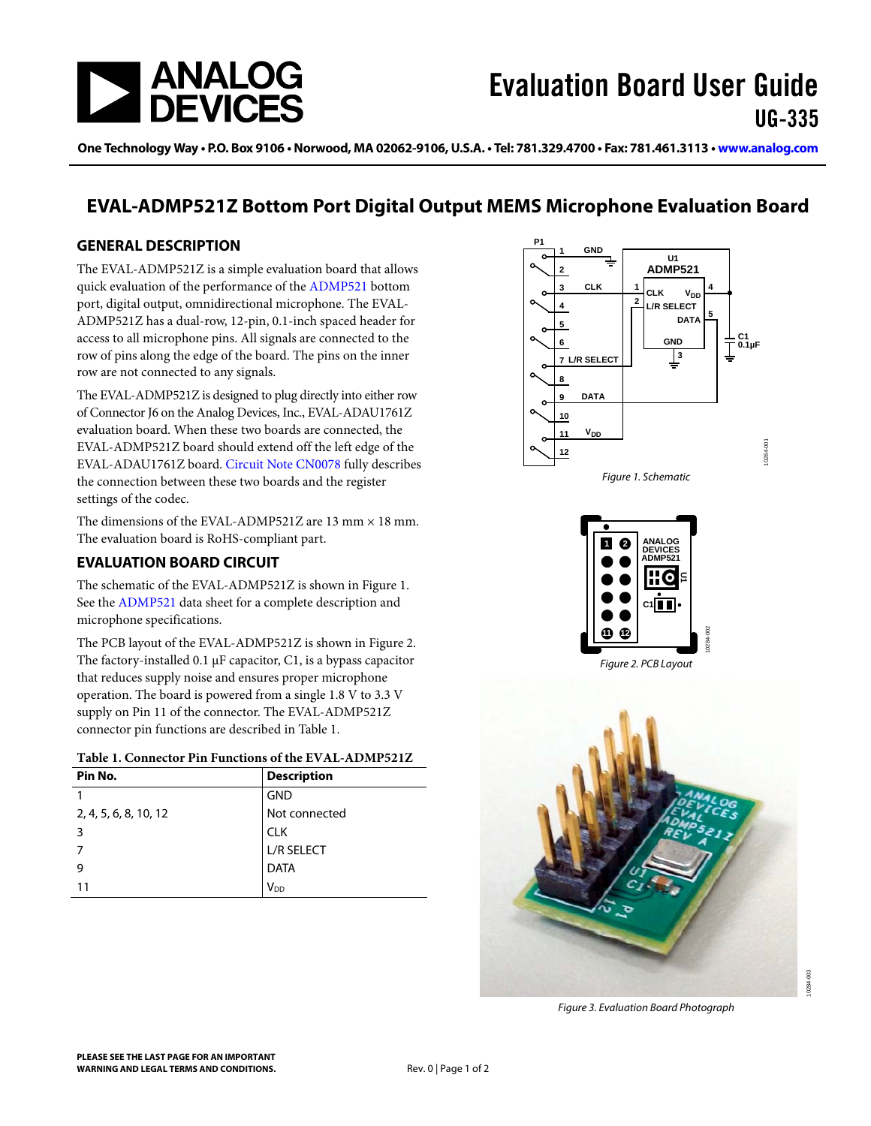

One Technology Way • P.O. Box 9106 • Norwood, MA 02062-9106, U.S.A. • Tel: 781.329.4700 • Fax: 781.461.3113 • [www.analog.com](http://www.analog.com)

## **EVAL-ADMP521Z Bottom Port Digital Output MEMS Microphone Evaluation Board**

### **GENERAL DESCRIPTION**

The EVAL-ADMP521Z is a simple evaluation board that allows quick evaluation of the performance of the [ADMP521](http://www.analog.com/ADMP521) bottom port, digital output, omnidirectional microphone. The EVAL-ADMP521Z has a dual-row, 12-pin, 0.1-inch spaced header for access to all microphone pins. All signals are connected to the row of pins along the edge of the board. The pins on the inner row are not connected to any signals.

The EVAL-ADMP521Z is designed to plug directly into either row of Connector J6 on the Analog Devices, Inc., EVAL-ADAU1761Z evaluation board. When these two boards are connected, the EVAL-ADMP521Z board should extend off the left edge of the EVAL-ADAU1761Z board. [Circuit Note CN0078](http://www.analog.com/CN0078) fully describes the connection between these two boards and the register settings of the codec.

<span id="page-0-0"></span>The dimensions of the EVAL-ADMP521Z are 13 mm  $\times$  18 mm. The evaluation board is RoHS-compliant part.

## **EVALUATION BOARD CIRCUIT**

The schematic of the EVAL-ADMP521Z is shown in [Figure 1](#page-0-0). See the [ADMP521](http://www.analog.com/ADMP521) data sheet for a complete description and microphone specifications.

<span id="page-0-1"></span>The PCB layout of the EVAL-ADMP521Z is shown in [Figure 2](#page-0-1). The factory-installed  $0.1 \mu$ F capacitor, C1, is a bypass capacitor that reduces supply noise and ensures proper microphone operation. The board is powered from a single 1.8 V to 3.3 V supply on Pin 11 of the connector. The EVAL-ADMP521Z connector pin functions are described in [Table 1](#page-0-2).

|  | Table 1. Connector Pin Functions of the EVAL-ADMP521Z |
|--|-------------------------------------------------------|
|--|-------------------------------------------------------|

<span id="page-0-2"></span>

| Pin No.               | <b>Description</b>     |
|-----------------------|------------------------|
|                       | <b>GND</b>             |
| 2, 4, 5, 6, 8, 10, 12 | Not connected          |
| 3                     | <b>CLK</b>             |
|                       | <b>L/R SELECT</b>      |
| 9                     | <b>DATA</b>            |
| 11                    | <b>V</b> <sub>DD</sub> |





Figure 2. PCB Layout



Figure 3. Evaluation Board Photograph

10284-003

 $\frac{3}{2}$  $284 -$